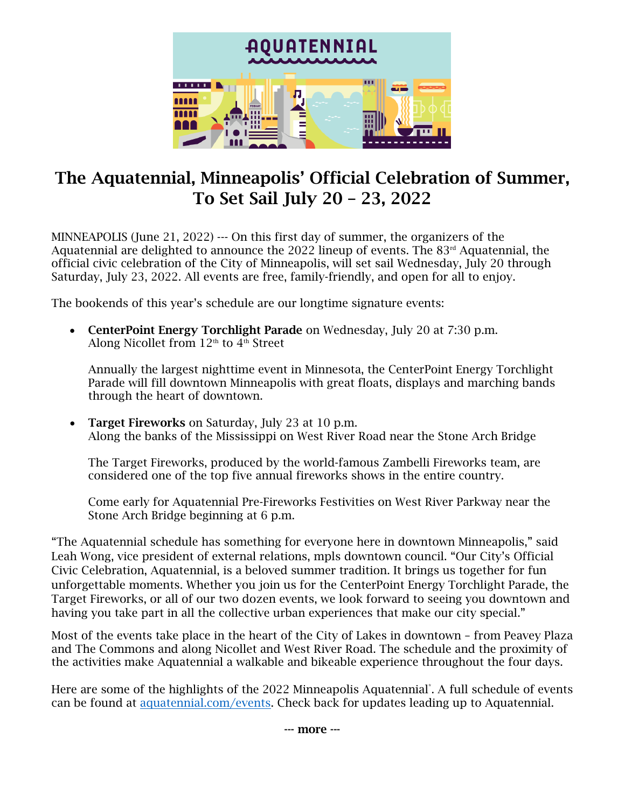

# The Aquatennial, Minneapolis' Official Celebration of Summer, To Set Sail July 20 – 23, 2022

MINNEAPOLIS (June 21, 2022) --- On this first day of summer, the organizers of the Aquatennial are delighted to announce the 2022 lineup of events. The 83rd Aquatennial, the official civic celebration of the City of Minneapolis, will set sail Wednesday, July 20 through Saturday, July 23, 2022. All events are free, family-friendly, and open for all to enjoy.

The bookends of this year's schedule are our longtime signature events:

• CenterPoint Energy Torchlight Parade on Wednesday, July 20 at 7:30 p.m. Along Nicollet from  $12<sup>th</sup>$  to  $4<sup>th</sup>$  Street

Annually the largest nighttime event in Minnesota, the CenterPoint Energy Torchlight Parade will fill downtown Minneapolis with great floats, displays and marching bands through the heart of downtown.

Target Fireworks on Saturday, July 23 at 10 p.m. Along the banks of the Mississippi on West River Road near the Stone Arch Bridge

The Target Fireworks, produced by the world-famous Zambelli Fireworks team, are considered one of the top five annual fireworks shows in the entire country.

Come early for Aquatennial Pre-Fireworks Festivities on West River Parkway near the Stone Arch Bridge beginning at 6 p.m.

"The Aquatennial schedule has something for everyone here in downtown Minneapolis," said Leah Wong, vice president of external relations, mpls downtown council. "Our City's Official Civic Celebration, Aquatennial, is a beloved summer tradition. It brings us together for fun unforgettable moments. Whether you join us for the CenterPoint Energy Torchlight Parade, the Target Fireworks, or all of our two dozen events, we look forward to seeing you downtown and having you take part in all the collective urban experiences that make our city special."

Most of the events take place in the heart of the City of Lakes in downtown – from Peavey Plaza and The Commons and along Nicollet and West River Road. The schedule and the proximity of the activities make Aquatennial a walkable and bikeable experience throughout the four days.

Here are some of the highlights of the 2022 Minneapolis Aquatennial\* . A full schedule of events can be found at [aquatennial.com/events.](http://www.aquatennial.com/events) Check back for updates leading up to Aquatennial.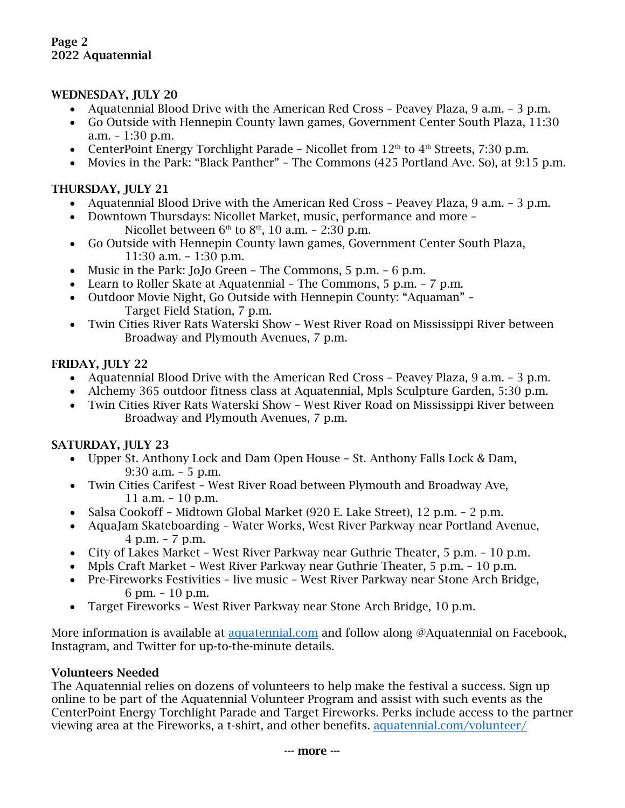#### WEDNESDAY, JULY 20

- Aquatennial Blood Drive with the American Red Cross Peavey Plaza, 9 a.m. 3 p.m.
- Go Outside with Hennepin County lawn games, Government Center South Plaza, 11:30 a.m. – 1:30 p.m.
- CenterPoint Energy Torchlight Parade Nicollet from  $12<sup>th</sup>$  to  $4<sup>th</sup>$  Streets, 7:30 p.m.
- Movies in the Park: "Black Panther" The Commons (425 Portland Ave. So), at 9:15 p.m.

### THURSDAY, JULY 21

- Aquatennial Blood Drive with the American Red Cross Peavey Plaza, 9 a.m. 3 p.m.
- Downtown Thursdays: Nicollet Market, music, performance and more Nicollet between  $6<sup>th</sup>$  to  $8<sup>th</sup>$ , 10 a.m. - 2:30 p.m.
- Go Outside with Hennepin County lawn games, Government Center South Plaza, 11:30 a.m. – 1:30 p.m.
- Music in the Park: JoJo Green The Commons, 5 p.m. 6 p.m.
- Learn to Roller Skate at Aquatennial The Commons, 5 p.m. 7 p.m.
- Outdoor Movie Night, Go Outside with Hennepin County: "Aquaman" Target Field Station, 7 p.m.
- Twin Cities River Rats Waterski Show West River Road on Mississippi River between Broadway and Plymouth Avenues, 7 p.m.

# FRIDAY, JULY 22

- Aquatennial Blood Drive with the American Red Cross Peavey Plaza, 9 a.m. 3 p.m.
- Alchemy 365 outdoor fitness class at Aquatennial, Mpls Sculpture Garden, 5:30 p.m.
- Twin Cities River Rats Waterski Show West River Road on Mississippi River between Broadway and Plymouth Avenues, 7 p.m.

# SATURDAY, JULY 23

- Upper St. Anthony Lock and Dam Open House St. Anthony Falls Lock & Dam, 9:30 a.m. – 5 p.m.
- Twin Cities Carifest West River Road between Plymouth and Broadway Ave, 11 a.m. – 10 p.m.
- Salsa Cookoff Midtown Global Market (920 E. Lake Street), 12 p.m. 2 p.m.
- AquaJam Skateboarding Water Works, West River Parkway near Portland Avenue, 4 p.m. – 7 p.m.
- City of Lakes Market West River Parkway near Guthrie Theater, 5 p.m. 10 p.m.
- Mpls Craft Market West River Parkway near Guthrie Theater, 5 p.m. 10 p.m.
- Pre-Fireworks Festivities live music West River Parkway near Stone Arch Bridge, 6 pm. – 10 p.m.
- Target Fireworks West River Parkway near Stone Arch Bridge, 10 p.m.

More information is available at [aquatennial.com](http://www.aquatennial.com/) and follow along @Aquatennial on Facebook, Instagram, and Twitter for up-to-the-minute details.

# Volunteers Needed

The Aquatennial relies on dozens of volunteers to help make the festival a success. Sign up online to be part of the Aquatennial Volunteer Program and assist with such events as the CenterPoint Energy Torchlight Parade and Target Fireworks. Perks include access to the partner viewing area at the Fireworks, a t-shirt, and other benefits. [aquatennial.com/volunteer/](http://www.aquatennial.com/volunteer/)